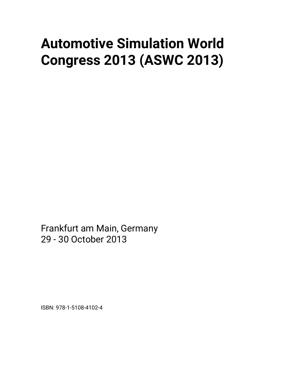# **Automotive Simulation World Congress 2013 (ASWC 2013)**

Frankfurt am Main, Germany 29 - 30 October 2013

ISBN: 978-1-5108-4102-4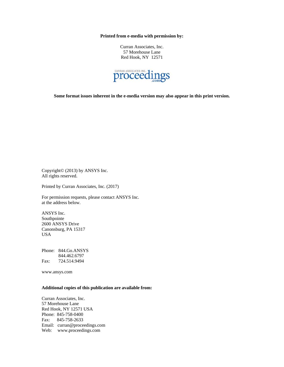**Printed from e-media with permission by:** 

Curran Associates, Inc. 57 Morehouse Lane Red Hook, NY 12571



**Some format issues inherent in the e-media version may also appear in this print version.** 

Copyright© (2013) by ANSYS Inc. All rights reserved.

Printed by Curran Associates, Inc. (2017)

For permission requests, please contact ANSYS Inc. at the address below.

ANSYS Inc. Southpointe 2600 ANSYS Drive Canonsburg, PA 15317 USA

Phone: 844.Go.ANSYS 844.462.6797 Fax: 724.514.9494

www.ansys.com

#### **Additional copies of this publication are available from:**

Curran Associates, Inc. 57 Morehouse Lane Red Hook, NY 12571 USA Phone: 845-758-0400 Fax: 845-758-2633 Email: curran@proceedings.com Web: www.proceedings.com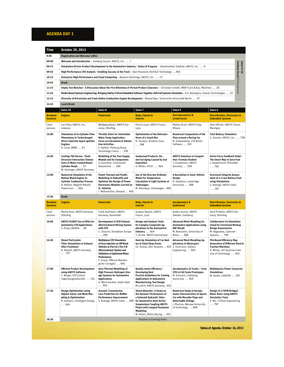## **AGENDA DAY 1**

| Time                               | <b>October 29, 2013</b>                                                                                                                                       |                                                                                                                                                                                                                                                  |                                                                                                                                                                                                                                                |                                                                                                                                                                                        |                                                                                                                                                                     |  |  |  |  |
|------------------------------------|---------------------------------------------------------------------------------------------------------------------------------------------------------------|--------------------------------------------------------------------------------------------------------------------------------------------------------------------------------------------------------------------------------------------------|------------------------------------------------------------------------------------------------------------------------------------------------------------------------------------------------------------------------------------------------|----------------------------------------------------------------------------------------------------------------------------------------------------------------------------------------|---------------------------------------------------------------------------------------------------------------------------------------------------------------------|--|--|--|--|
| 8:00                               | <b>Registration and Welcome Coffee</b>                                                                                                                        |                                                                                                                                                                                                                                                  |                                                                                                                                                                                                                                                |                                                                                                                                                                                        |                                                                                                                                                                     |  |  |  |  |
| 09:00                              | Welcome and Introduction - Sandeep Sovani, ANSYS, Inc.  1                                                                                                     |                                                                                                                                                                                                                                                  |                                                                                                                                                                                                                                                |                                                                                                                                                                                        |                                                                                                                                                                     |  |  |  |  |
| 09:15                              | Sandeep Sovani (Chairperson)<br>Simulation-Driven Product Development in the Automotive Industry - Status & Progress - Swaminathan Subbiah, ANSYS, Inc.  6    |                                                                                                                                                                                                                                                  |                                                                                                                                                                                                                                                |                                                                                                                                                                                        |                                                                                                                                                                     |  |  |  |  |
| 09:45                              | Salon 9+10<br>High-Performance CFD Analysis - Enabling Success at the Track - Alan Peasland, Red Bull Technology  N/A                                         |                                                                                                                                                                                                                                                  |                                                                                                                                                                                                                                                |                                                                                                                                                                                        |                                                                                                                                                                     |  |  |  |  |
| 10:15                              | Enterprise High-Performance and Cloud Computing - Barbara Hutchings, ANSYS, Inc.  13                                                                          |                                                                                                                                                                                                                                                  |                                                                                                                                                                                                                                                |                                                                                                                                                                                        |                                                                                                                                                                     |  |  |  |  |
| 10:45                              | <b>Break</b>                                                                                                                                                  |                                                                                                                                                                                                                                                  |                                                                                                                                                                                                                                                |                                                                                                                                                                                        |                                                                                                                                                                     |  |  |  |  |
| 11:15                              |                                                                                                                                                               | Empty Test Benches - A Discussion About the Five Dilemmas of Virtual Product Clearance - Christoph Schöttl, MAN Truck & Bus, München  20                                                                                                         |                                                                                                                                                                                                                                                |                                                                                                                                                                                        |                                                                                                                                                                     |  |  |  |  |
| 11:45                              |                                                                                                                                                               | Model-Based Systems Engineering: Bringing Safety-Critical Embedded Software Together with Full Systems Simulation - Eric Bantegnie, Esterel Technologies  27                                                                                     |                                                                                                                                                                                                                                                |                                                                                                                                                                                        |                                                                                                                                                                     |  |  |  |  |
| 12:15                              |                                                                                                                                                               | Diversity of Drivetrains and Fuels Define Combustion Engine Development - Roland Baar, Technische Universität Berlin  47                                                                                                                         |                                                                                                                                                                                                                                                |                                                                                                                                                                                        |                                                                                                                                                                     |  |  |  |  |
| 12:45                              | <b>Lunch Break</b>                                                                                                                                            |                                                                                                                                                                                                                                                  |                                                                                                                                                                                                                                                |                                                                                                                                                                                        |                                                                                                                                                                     |  |  |  |  |
|                                    | Salon 10                                                                                                                                                      | Salon 8                                                                                                                                                                                                                                          | Salon 7                                                                                                                                                                                                                                        | Salon 9                                                                                                                                                                                | Salon 6                                                                                                                                                             |  |  |  |  |
| <b>Breakout</b><br><b>Sessions</b> | <b>Engines</b>                                                                                                                                                | <b>Powertrain</b>                                                                                                                                                                                                                                | <b>Body, Chassis &amp;</b><br><b>Interior</b>                                                                                                                                                                                                  | <b>Aerodynamics &amp;</b><br><b>Underhood</b>                                                                                                                                          | <b>Electrification, Electronics &amp;</b><br><b>Embedded Systems</b>                                                                                                |  |  |  |  |
| Chair-<br>persons                  | Laz Foley, ANSYS, Inc.,<br>Lebanon                                                                                                                            | Wolfgang Bauer, ANSYS Ger-<br>many, Otterfing                                                                                                                                                                                                    | Pierre Louat, ANSYS France,<br>Lyon                                                                                                                                                                                                            | Matteo Aroni, ANSYS Italy,<br>Milano                                                                                                                                                   | Alain Michel, ANSYS France,<br>Montigny                                                                                                                             |  |  |  |  |
| 14:00                              | <b>Simulation of In-Cylinder Flow</b><br>Phenomena in Turbocharged<br>Direct Injection Spark Ignition<br><b>Engines</b><br>D. Linse, BMW  61                  | <b>Throttle Valve for Switchable</b><br><b>Water Pump Application -</b><br>Focus on Calculation & Simula-<br>tion Activities<br>E. Dattoli, Pierburg Pump<br>Technology France  235                                                              | <b>Optimisation of the Defroster</b><br><b>Ducts of a Coach Bus</b><br>B. Tavukçu, Anadolu Isuzu<br>396                                                                                                                                        | <b>Numerical Computation of the</b><br><b>Flow around a Racing Car</b><br>B. Schoeneberg, CFX Berlin<br>Software  541                                                                  | <b>Total Battery Simulation</b><br>S. Stanton, ANSYS, Inc.  729                                                                                                     |  |  |  |  |
| 14:30                              | Cooling 760 Horses - Fluid-<br><b>Structure-Interaction Simula-</b><br>tions of Water-Cooled Diesel<br>Cylinder Heads  74<br>W. Haslinger, ANSYS Germany      | <b>Modelling of the Fuel Supply</b><br><b>Module and its Components</b><br>O. Kurenkov, Continental<br>Automotive  246                                                                                                                           | <b>Sunburned Products: Nu-</b><br>merical Aging Caused by Sun<br>Exposition<br>A. Müller, HTCO  N/A                                                                                                                                            | <b>ANSYS Solutions in Competi-</b><br>tion: Formula Student<br>T. Grundmann, ANSYS<br>Germany  554                                                                                     | <b>Active Force Feedback Pedal -</b><br>The Smart Way to Save Fuel<br>J. Heydenreich, PhilonNet<br>749                                                              |  |  |  |  |
| 15:00                              | <b>Numerical Simulation of the</b><br><b>Biofuel Blend Engine In-</b><br><b>Cylinder Combustion Process</b><br>N. Bellato, Magneti Marelli<br>Powertrain  N/A | Fluent Thermal and Fluidic<br><b>Modelling to Robustify and</b><br><b>Optimize the Design of Power</b><br><b>Electronics Modules Carried on</b><br>El. Vehicles<br>I. Mohand-Kaci, Renault  N/A                                                  | <b>Use of the Discrete Ordinate</b><br><b>Model for Temperature</b><br><b>Calculation in Light Systems at</b><br>Volkswagen<br>M. Kleimeyer, Volkswagen  408                                                                                   | A Revolution in Solar Vehicle<br>Design<br>R. Stephens, Cambridge<br>University  568                                                                                                   | <b>Structural Integrity Assess-</b><br>ment of a Li-Ion Battery Pack<br>using Simulations<br>S. Kottalgi, ANSYS India<br>767                                        |  |  |  |  |
| 15:30                              | <b>Break</b>                                                                                                                                                  |                                                                                                                                                                                                                                                  |                                                                                                                                                                                                                                                |                                                                                                                                                                                        |                                                                                                                                                                     |  |  |  |  |
| <b>Breakout</b><br><b>Sessions</b> | <b>Engines</b>                                                                                                                                                | <b>Powertrain</b>                                                                                                                                                                                                                                | <b>Body, Chassis &amp;</b><br><b>Interior</b>                                                                                                                                                                                                  | <b>Aerodynamics &amp;</b><br><b>Underhood</b>                                                                                                                                          | <b>Electrification, Electronics &amp;</b><br><b>Embedded Systems</b>                                                                                                |  |  |  |  |
| Chair-<br>persons                  | Martin Kunz, ANSYS Germany,<br>Otterfing                                                                                                                      | Frank Kaufmann, ANSYS<br>Germany, Darmstadt                                                                                                                                                                                                      | Jacques Depont, ANSYS<br>France, Lyon                                                                                                                                                                                                          | Anders Jonson, ANSYS<br>Sweden, Goteborg                                                                                                                                               | Gerd Prillwitz, ANSYS Ger-<br>many, Otterfing                                                                                                                       |  |  |  |  |
| 16:00                              | <b>ANSYS FLUENT Use of GPUs for</b><br><b>Automotive CFD Applications</b><br>S. Posey, NVIDIA 90                                                              | <b>Development of SCR Exhaust</b><br><b>Aftertreatment Mixing System</b><br>with CFD<br>C. Chauvin, Donaldson Europe<br>258                                                                                                                      | <b>Design and Analysis Tools</b><br>for Complex Composite Ap-<br>plications in the Automotive<br>Industry  N/A<br>T. Hirche, ANSYS Switzerland                                                                                                 | <b>Advanced Mesh Morphing for</b><br><b>Automotive Applications using</b><br><b>RBF Morph</b><br>M. Biancolini, University of<br>Rome  586                                             | <b>Collaborative Co-Simulation</b><br><b>Cloud for Functional Mockup</b><br><b>Design Assessments</b><br>M. Nagasawa, Cybernet<br>Systems  780                      |  |  |  |  |
| 16:30                              | <b>Diesel Particulate</b><br><b>Filter Simulations in Exhaust</b><br><b>After-Treatment</b><br>R. Reinelt, ANSYS Germany<br>… 107                             | <b>Multiphase CFD Simulation</b><br>of Urea Injection on Off-Road<br>Vehicles as Part of a Tier-4 B<br>Aftertreatment System and<br><b>Validation of Optimised Mixer</b><br>Performance<br>F. Grassi, Officine Metallur-<br>giche Cornaglia  N/A | Heat-Up Simulation of Car Bod-<br>ies in Paint Shop Ovens<br>Ch. Knüsel, Dürr Systems  424                                                                                                                                                     | <b>Advanced Mesh Morphing Ap-</b><br>plications in Motorsport<br>S. Invernizzi, Dallara<br>Engineering  N/A                                                                            | <b>FEA-Based Efficiency Map</b><br><b>Generation of Different Electric</b><br><b>Traction Machines</b><br>O. Winter, AIT Austrian Insti-<br>tute of Technology  N/A |  |  |  |  |
| 17:00                              | <b>Efficient Product Development</b><br>using ANSYS Software<br>L. Berger, CFD Schuck<br>Ingenieurgesellschaft  123                                           | <b>Aero-Thermal Modelling of</b><br>High Pressure Hydrogen Stor-<br>age Systems for Automotive<br>Applications<br>A. Mack-Gardner, Adam Opel<br>$$ N/A                                                                                           | Quality meets Efficiency -<br><b>Developing Best</b><br><b>Practice Guidelines for Cooling</b><br><b>Applications in Automotive</b><br><b>Manufacturing Tool Design</b><br>M.Lanfrit, ANSYS Germany. 433                                       | Aerodynamics of Trucks - From<br><b>CFD to Full Scale Prototypes</b><br>M. Karlsson, Linköping<br>University  N/A                                                                      | <b>Multiphysics Power Connector</b><br><b>Simulations</b><br>M. Hanke, CADFEM  787                                                                                  |  |  |  |  |
| 17:30                              | <b>Design Optimisation using</b><br>Adjoint Solver and Mesh Mor-<br>phing & Optimisation<br>N. Kulkarni, Intelligent Energy<br>N/A                            | <b>Acoustic Transmission</b><br><b>Loss Prediction for Muffler</b><br><b>Performance Improvement</b><br>S. Kottalgi, ANSYS India  268                                                                                                            | Shock-Absorber: A Study on<br>the Dynamic Performance of<br>a Solenoid Hydraulic Valve<br>for Automotive Semi-Active<br><b>Suspensions Coupling ANSYS</b><br><b>Fluent with Lumped Parameter</b><br>Modelling<br>M. Pelosi, Öhlins Racing  451 | <b>Numerical Study of Aerody-</b><br>namic Characteristics of Sports<br>Car with Movable Flaps and<br><b>Deformable Airbags</b><br>J. Piechna, Warsaw University<br>of Technology  608 | Design of a FSPM Bridged<br><b>Motor Rotor using ANSYS</b><br><b>Simulation Tools</b><br>X. Wu, TriVista Engineering<br>797                                         |  |  |  |  |
| 18:30                              |                                                                                                                                                               |                                                                                                                                                                                                                                                  | <b>Shuttles to Evening Event</b>                                                                                                                                                                                                               |                                                                                                                                                                                        |                                                                                                                                                                     |  |  |  |  |
|                                    |                                                                                                                                                               |                                                                                                                                                                                                                                                  |                                                                                                                                                                                                                                                |                                                                                                                                                                                        | Status of Agenda, October 16, 2013                                                                                                                                  |  |  |  |  |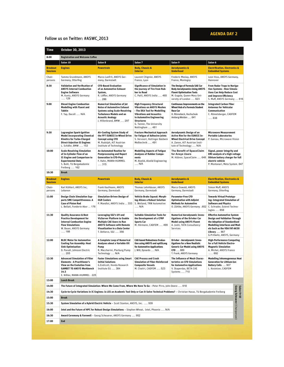## **AGENDA DAY 2**

### Follow us on Twitter: #ASWC\_2013

|                                    | October 30, 2013                                                                                                                                                                    |                                                                                                                                                                                                            |                                                                                                                                                                                                                                            |                                                                                                                                                                   |                                                                                                                                                                                                                                   |  |  |  |
|------------------------------------|-------------------------------------------------------------------------------------------------------------------------------------------------------------------------------------|------------------------------------------------------------------------------------------------------------------------------------------------------------------------------------------------------------|--------------------------------------------------------------------------------------------------------------------------------------------------------------------------------------------------------------------------------------------|-------------------------------------------------------------------------------------------------------------------------------------------------------------------|-----------------------------------------------------------------------------------------------------------------------------------------------------------------------------------------------------------------------------------|--|--|--|
| 8:00                               | <b>Registration and Welcome Coffee</b>                                                                                                                                              |                                                                                                                                                                                                            |                                                                                                                                                                                                                                            |                                                                                                                                                                   |                                                                                                                                                                                                                                   |  |  |  |
|                                    | Salon 10                                                                                                                                                                            | Salon 8                                                                                                                                                                                                    | Salon 7                                                                                                                                                                                                                                    | Salon 9                                                                                                                                                           | Salon 6                                                                                                                                                                                                                           |  |  |  |
| <b>Breakout</b><br><b>Sessions</b> | <b>Engines</b>                                                                                                                                                                      | <b>Powertrain</b>                                                                                                                                                                                          | <b>Body, Chassis &amp;</b><br><b>Interior</b>                                                                                                                                                                                              | <b>Aerodynamics &amp;</b><br><b>Underhood</b>                                                                                                                     | <b>Electrification, Electronics &amp;</b><br><b>Embedded Systems</b>                                                                                                                                                              |  |  |  |
| Chair-<br>persons                  | Tammo Grundmann, ANSYS<br>Germany, Otterfing                                                                                                                                        | Marco Lanfrit, ANSYS Ger-<br>many, Darmstadt                                                                                                                                                               | Laurent Chignier, ANSYS<br>France, Lyon                                                                                                                                                                                                    | Frederic Meslay, ANSYS<br>France, Montegny                                                                                                                        | Leon Voss, ANSYS Germany,<br>Hannover                                                                                                                                                                                             |  |  |  |
| 8:30                               | Validation and Verification of<br><b>ANSYS Internal Combustion</b><br><b>Engine Software</b><br>M. Kuntz, ANSYS Germany<br>129                                                      | <b>CFD-Based Evaluation</b><br>of an Automotive Exhaust<br>System,<br>R. Löffler, ANSYS Germany<br>286                                                                                                     | <b>Significance of Simulation in</b><br>the Journey of Tire from Rub-<br>ber to Road<br>C. Patil, ANSYS India  465                                                                                                                         | The Design of Formula SAE Car<br><b>Body Aerodynamics Using ANSYS</b><br><b>Fluent Optimisation Tools</b><br>M. Gugala, Queen Mary Uni-<br>versity of London  623 | From Radar Traps to Naviga-<br>tion Systems - How Simula-<br>tions Can Help Reduce Cost<br>and Improve Efficiency<br>S. Muff, ANSYS Germany  816                                                                                  |  |  |  |
| 9:00                               | <b>Diesel Engine Combustion</b><br>Modelling with Fluent and<br>Tabkin<br>F. Tap, Dacolt  N/A                                                                                       | <b>Numerical Simulation of Jet</b><br><b>Noise of Automotive Exhaust</b><br><b>Systems using Scale-Resolving</b><br><b>Turbulence Models and an</b><br><b>Acoustic Analogy</b><br>J. Hillenbrand, BMW  297 | <b>High Frequency Structural</b><br><b>Vibrations on ANSYS Meshes</b><br>- The DEA Tool for Modelling<br><b>Vibrations and Acoustics</b><br>in Automotive Engineering<br><b>Structures</b><br>G. Tanner, The University<br>Nottingham  481 | <b>Continuous Improvements on the</b><br>Wheel Hub of a Formula Student<br>Race Car<br>H. Rönnebeck, Hochschule<br>Amberg-Weiden  641                             | <b>Integrated Carbon Fiber</b><br><b>Antennas for Vehicular</b><br>Communication<br>C. Römelsberger, CADFEM<br>838                                                                                                                |  |  |  |
| 9:30                               | <b>Lagrangian Spark-Ignition</b><br><b>Model Incorporating Chemical</b><br><b>Kinetics for Turbo-Charged</b><br><b>Direct-Injection SI Engines</b><br>L. Schäfer, BMW  153          | Air-Cooling System Study of<br>the FP7 EUNICE In-Wheel Drive<br><b>Concept using CFD</b><br>M. Rudolph, AIT Austrian<br>Institute of Technology                                                            | <b>Fracture Mechanical Approach</b><br>for Fatigue of Adhesive Joints<br>S. Vervoort, Hottinger Baldwin<br>Meßtechnik  491                                                                                                                 | Aerodynamic Design of an<br>Active Rim for the EUNICE In-<br><b>Wheel Electrical Drive Concept</b><br>A. Zanon, AIT Austrian Insti-<br>tute of Technology  N/A    | <b>Microwave Measurement</b><br><b>Portable Laboratories</b><br>P. Gareau, Microwave Vision                                                                                                                                       |  |  |  |
| 10:00                              | <b>Scale-Resolving Simulation</b><br>of In-Cylinder Flow of an<br>IC-Engine and Comparison to<br><b>Experimental Data</b><br>S. Buhl, TU Bergakademie<br>Freiberg  162              | An Automated Routine for<br><b>Postprocessing and Report</b><br><b>Generation in CFD-Post</b><br>F. Hahn, MANN+HUMMEL<br>315                                                                               | <b>Modelling Aspects of Fatigue</b><br>Analyses of Rubber Compo-<br>nents<br>M. Alvelid, Alvelid Engineering<br>N/A                                                                                                                        | The Benefit of SpaceClaim<br>for Ansys Users<br>M. Hübner, SpaceClaim  648                                                                                        | Signal, power integrity and<br><b>EMI</b> analysis of a high voltage<br>lithium battery charger for full<br>electric vehicle<br>P. Montanari, Meta System. 847                                                                    |  |  |  |
| 10:30                              | <b>Break</b>                                                                                                                                                                        |                                                                                                                                                                                                            |                                                                                                                                                                                                                                            |                                                                                                                                                                   |                                                                                                                                                                                                                                   |  |  |  |
| <b>Breakout</b><br><b>Sessions</b> | <b>Engines</b>                                                                                                                                                                      | <b>Powertrain</b>                                                                                                                                                                                          | <b>Body, Chassis &amp;</b><br><b>Interior</b>                                                                                                                                                                                              | <b>Aerodynamics &amp;</b><br><b>Underhood</b>                                                                                                                     | <b>Electrification, Electronics &amp;</b><br><b>Embedded Systems</b>                                                                                                                                                              |  |  |  |
| Chair-<br>persons                  | Karl Kühlert, ANSYS Inc,<br>Lebanon                                                                                                                                                 | Frank Kaufmann, ANSYS<br>Germany, Darmstadt                                                                                                                                                                | Thomas Lehnhäuser, ANSYS<br>Germany, Darmstadt                                                                                                                                                                                             | Marco Oswald, ANSYS<br>Germany, Darmstadt                                                                                                                         | Simon Muff, ANSYS<br>Germany, Otterfing                                                                                                                                                                                           |  |  |  |
| 11:00                              | Design Chain Simulation Sup-<br>ports SME Competitiveness: A<br><b>Case of Piston Rod</b><br>L. Bellati, Fonderie Abor  176                                                         | Simulation-Driven Design of<br><b>EGR Coolers</b><br>P. Mandloi, ANSYS India  333                                                                                                                          | Vehicle Brake Squeal: Morph-<br>ing Allows a Robust Solution<br>S. Weiland, TRW Automotive<br>$$ N/A                                                                                                                                       | <b>Parameter-Free CFD</b><br><b>Optimisation with Adjoint</b><br><b>Methods for Automotive</b><br>O. Zühlke, ANSYS Germany  652 C. Schrader, Esterel Techno-      | <b>Towards Virtual Prototyp-</b><br>ing: Integrated Simulation of<br><b>Software and Physics</b><br>logies  858                                                                                                                   |  |  |  |
| 11:30                              | <b>Quality Assurance &amp; Best</b><br><b>Practice Development for</b><br><b>Internal Combustion Engine</b><br><b>Flow Simulations</b><br>W. Bauer, ANSYS Germany<br>188            | Leveraging SGI's UV and<br><b>VizServer Platform to Enable</b><br>Multiple CAE Users to Run<br><b>ANSYS Software with Remote</b><br>Visualization in a Data Center<br>T. DeVarco, SGI  356                 | <b>Suitable Simulation Tools for</b><br>the Development of a CFRP<br><b>Sports Car</b><br>M. Hörmann, CADFEM  499                                                                                                                          | Numerical Aerodynamic Inves-<br>tigations of the DrivAer Car<br><b>Model using ANSYS Fluent</b><br>A. Joshi, TATA Consultancy<br>Services                         | <b>Effective Automotive System</b><br>Design and Validation Through<br>the Adoption of Standardised<br><b>Modelling Interfaces and Mod-</b><br>els Such as the VDA FAT-AK30<br><b>Library  867</b><br>G.Prillwitz, ANSYS, Germany |  |  |  |
| 12:00                              | <b>BLDC Motor for Automotive</b><br><b>Cooling Fan Assembly: Heat</b><br><b>Sink Optimisation</b><br>D. Parodi, Johnson Electric<br>205                                             | A Complete Loop of Numerical<br>Analyses about a Variable Oil<br>Pump<br>R. Maccherini, Pierburg Pump<br>Technology  N/A                                                                                   | <b>CAE-based Robustness Evalua-</b><br>tion using ANSYS and optiSLang<br>for Automotive Applications<br>J. Will, Dynardo  N/A                                                                                                              | DrivAer - Aerodynamic Inves-<br>tigations for a New Realistic<br><b>Generic Car Model using ANSYS</b><br>CFD  689<br>T. Frank, ANSYS Germany                      | <b>High-Performance Computing</b><br>for a Full Vehicle Electro-<br><b>Magnetic Simulation</b><br>A. Michel. ANSYS France<br>892                                                                                                  |  |  |  |
| 12:30                              | <b>Advanced Simulation of Filter</b><br><b>Elements - A Practitioner's</b><br>View on the Evolution from<br><b>GAMBIT TO ANSYS Workbench</b><br>14.5<br>E. Nißler, MANN+HUMMEL. 225 | <b>Faster Simulations using Smart</b><br><b>Initial Solutions</b><br>G.Endicott, Honda Research<br>Institute EU  384                                                                                       | <b>CAE Process and Crash</b><br><b>Simulation of Fiber-Reinforced</b><br><b>Composite Vessels</b><br>M. Chatiri, CADFEM  523                                                                                                               | The Influence of Mesh Charac-<br>teristics on CFD Simulations<br>for Automotive Applications<br>V. Skaperdas, BETA CAE<br>Systems  710                            | <b>Modelling Inhomogeneous Heat</b><br><b>Generation for Lithium-Ion</b><br>Battery Cells  907<br>L. Kostetzer, CADFEM                                                                                                            |  |  |  |
| 13:00                              | <b>Lunch Break</b>                                                                                                                                                                  |                                                                                                                                                                                                            |                                                                                                                                                                                                                                            |                                                                                                                                                                   |                                                                                                                                                                                                                                   |  |  |  |
| 14:00                              | The Future of Integrated Simulation: Where We Come From, Where We Have To Go - Peter Pirro, John Deere  918                                                                         |                                                                                                                                                                                                            |                                                                                                                                                                                                                                            |                                                                                                                                                                   |                                                                                                                                                                                                                                   |  |  |  |
| 14:30                              | Salon 9+10<br>Cycle-to-Cycle Variations in IC Engines: Is LES an Academic Tool Only or Can It Solve Technical Problems? - Christian Hasse, TU Bergakademie Freiberg                 |                                                                                                                                                                                                            |                                                                                                                                                                                                                                            |                                                                                                                                                                   |                                                                                                                                                                                                                                   |  |  |  |
| 15:00                              | Georg Scheuerer (Chairperson)<br><b>Break</b>                                                                                                                                       |                                                                                                                                                                                                            |                                                                                                                                                                                                                                            |                                                                                                                                                                   |                                                                                                                                                                                                                                   |  |  |  |
| 15:30                              | System Simulation of a Hybrid Electric Vehicle - Scott Stanton, ANSYS, Inc.  939                                                                                                    |                                                                                                                                                                                                            |                                                                                                                                                                                                                                            |                                                                                                                                                                   |                                                                                                                                                                                                                                   |  |  |  |
| 16:00                              | Intel and the Future of HPC for Robust Design Simulations - Stephen Wheat, Intel, Phoenix  N/A                                                                                      |                                                                                                                                                                                                            |                                                                                                                                                                                                                                            |                                                                                                                                                                   |                                                                                                                                                                                                                                   |  |  |  |
| 16:30                              | Award Ceremony & Farewell - Georg Scheuerer, ANSYS Germany  952                                                                                                                     |                                                                                                                                                                                                            |                                                                                                                                                                                                                                            |                                                                                                                                                                   |                                                                                                                                                                                                                                   |  |  |  |
|                                    |                                                                                                                                                                                     | End                                                                                                                                                                                                        |                                                                                                                                                                                                                                            |                                                                                                                                                                   |                                                                                                                                                                                                                                   |  |  |  |